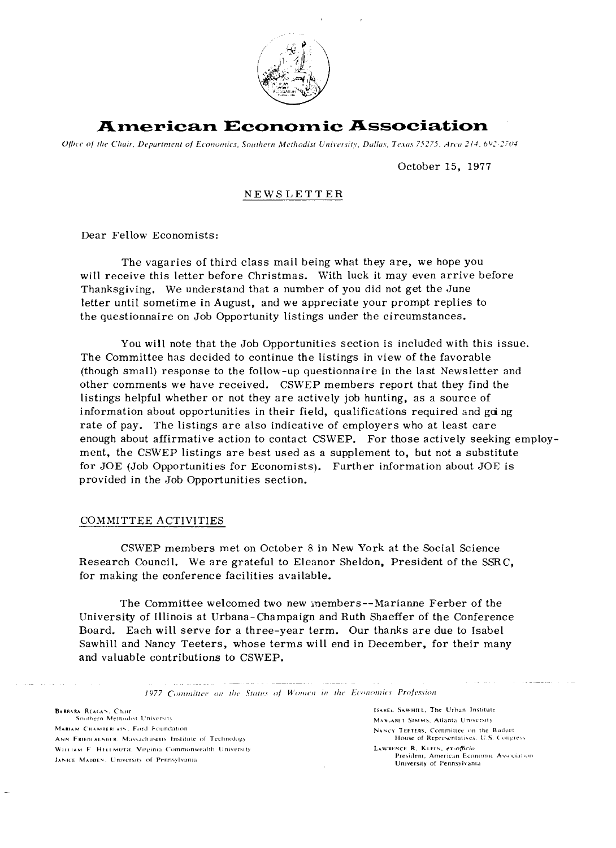

### **American Economic Association**

Office of the Chair, Department of Economics, Southern Methodist University, Dallas, Texas 75275, Arca 214, 692-2704

#### October 15, 1977

#### NEWSLETTER

Dear Fellow Economists:

The vagaries of third class mail being what they are, we hope you will receive this letter before Christmas. With luck it may even arrive before Thanksgiving. We understand that a number of you did not get the June letter until sometime in August, and we appreciate your prompt replies to the questionnaire on Job Opportunity listings under the circumstances.

You will note that the Job Opportunities section is included with this issue. The Committee has decided to continue the listings in view of the favorable (though small) response to the follow-up questionnaire in the last Newsletter and other comments we have received. CSWEP members report that they find the listings helpful whether or not they are actively job hunting, as a source of information about opportunities in their field, qualifications required and going rate of pay. The listings are also indicative of employers who at least care enough about affirmative action to contact CSWEP. For those actively seeking employ ment, the CSWEP listings are best used as a supplement to, but not a substitute for JOE (Job Opportunities for Economists). Further information about JOE is provided in the Job Opportunities section.

#### COMMITTEE ACTIVITIES

CSWEP members met on October 8 in New York at the Social Science Research Council. We are grateful to Eleanor Sheldon, President of the SSRC, for making the conference facilities available.

The Committee welcomed two new inembers--Marianne Ferber of the University of Illinois at Urbana-Champaign and Ruth Shaeffer of the Conference Board. Each will serve for a three-year term. Our thanks are due to Isabel Sawhill and Nancy Teeters, whose terms will end in December, for their many and valuable contributions to CSWEP.

1977 Committee on the Status of Women in the Economics Profession

**BARBARA REAGAN, Chair** Southern Methodist University MARIAM CHAMBERIAIN, Ford Foundation. ANN FRIEDLALNOFR, Massachusetts Institute of Technology WILLIAM F. HELLMUTH, Virginia Commonwealth University JANICE MADDEN, University of Pennsylvania

ISABEL SAWHILL, The Urban Institute MARGARET SIMMS, Atlanta University **NANCY TEETERS. Committee on the Budget** House of Representatives, U.S. Congress. **L~waehcs R. KIFIN. CX-ORICIU**  President, American Economic Association University of Pennsylvania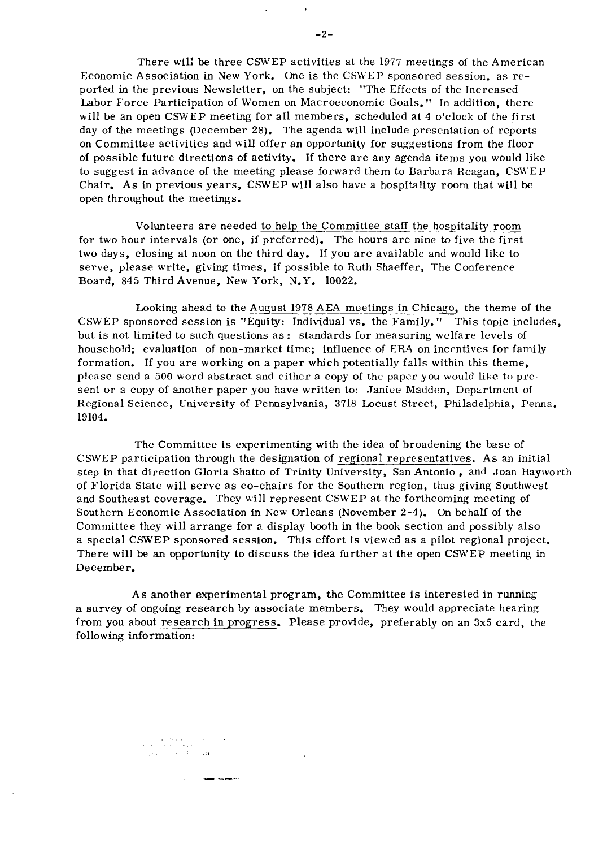on Committee activities and will offer an opportunity for suggestions from the floor of possible future directions of activity. If there are any agenda items you would like to suggest in advance of the meeting please forward them to Barbara Reagan, CSWEP Chair. As in previous years, CSWEP will also have a hospitality room that will be open throughout the meetings.

Volunteers are needed to help the Committee staff the hospitality room for two hour intervals (or one, if preferred). The hours are nine to five the first two days, closing at noon on the third day. If you are available and would like to serve, please write, giving times, if possible to Ruth Shaeffer, The Conference Board, 845 Third Avenue, New York, N.Y. 10022.

Looking ahead to the August 1978 AEA meetings in Chicago, the theme of the CSWEP sponsored session is "Equity: Individual vs. the Family." This topic includes, but is not limited to such questions as: standards for measuring welfare levels of household; evaluation of non-market time; influence of ERA on incentives for family formation. If you are working on a paper which potentially falls within this theme, please send a 500 word abstract and either a copy of the paper you would like to present or a copy of another paper you have written to: Janice Madden, Departmcnt of Regional Science, University of Pennsylvania, 3718 Locust Street, Philadelphia, Penna. 19104.

The Committee is experimenting with the idea of broadening the base of CSWEP participation through the designation of regional representatives. As an initial step in that direction Gloria Shatto of Trinity University, San Antonio, and Joan Hayworth of Florida State will serve as co-chairs for the Southern region, thus giving Southwest and Southeast coverage. They will represent CSWEP at the forthcoming meeting of Southern Economic Association in New Orleans (November 2-4). On behalf of the Committee they will arrange for a display booth in the book section and possibly also a special CSWEP sponsored session. This effort is viewed as a pilot regional project. There will be an opportunity to discuss the idea further at the open CSWEP meeting in December.

As another experimental program, the Committee is interested in running a survey of ongoing research by associate members. They would appreciate hearing from you about research in progress. Please provide, preferably on an **3x5** card, the following information:

 $\label{eq:2} \frac{1}{\sigma_{\rm{eff}}(t)} = \frac{1}{\sigma_{\rm{eff}}(t)} \frac{\sigma_{\rm{eff}}(t)}{\sigma_{\rm{eff}}(t)} = \frac{1}{\sigma_{\rm{eff}}(t)} \frac{\sigma_{\rm{eff}}(t)}{\sigma_{\rm{eff}}(t)} = \frac{1}{\sigma_{\rm{eff}}(t)} \frac{\sigma_{\rm{eff}}(t)}{\sigma_{\rm{eff}}(t)}$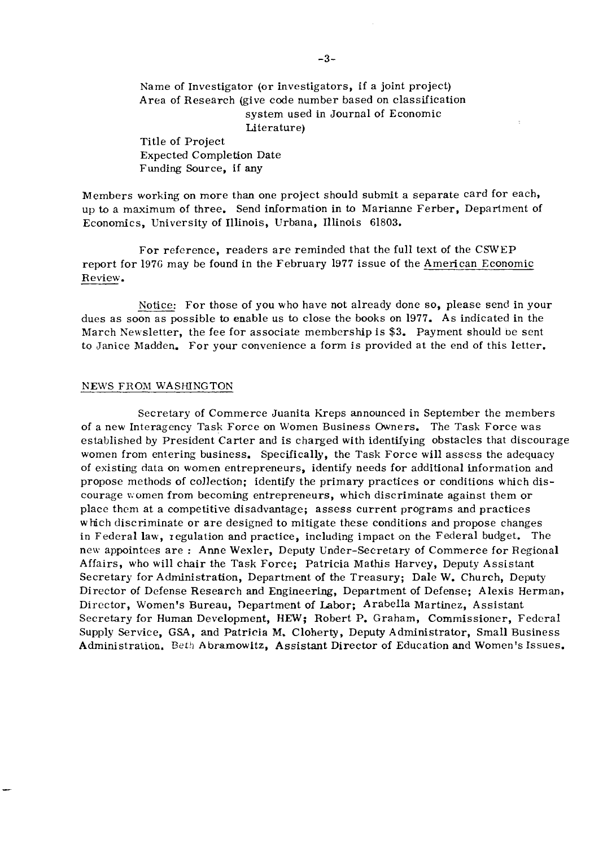Name of Investigator (or investigators, if a joint project) Area of Research (give code number based on classification system used in Journal of Economic Literature) Title of Project Expected Completion Date Funding Source, if any

Members working on more than one project should submit a separate card for each, up to a maximum of three. Send information in to Marianne Ferber, Department of Economics, University of Illinois, Urbana, Illinois 61803.

For reference, readers are reminded that the full text of the CSWEP report for 1976 may be found in the February 1977 issue of the American Economic Review.

Notice: For those of you who have not already done so, please send in your dues as soon as possible to enable us to close the books on 1977. As indicated in the March Newsletter, the fee for associate membership is \$3. Payment should be sent to Janice Madden. For your convenience a form is provided at the end of this letter.

#### NEWS FROM WASHINGTON

Secretary of Commerce Juanita Kreps announced in September the members of a new Interagency Task Force on Women Business Owners. The Task Force was established by President Carter and is charged with identifying obstacles that discourage women from entering business. Specifically, the Task Force will assess the adequacy of existing data on women entrepreneurs, identify needs for additional information and propose methods of collection; identify the primary practices or conditions which discourage women from becoming entrepreneurs, which discriminate against them or place them at a competitive disadvantage; assess current programs and practices which discriminate or are designed to mitigate these conditions and propose changes in Federal law, regulation and practice, including impact on the Federal budget. The new appointees are : Anne Wexler, Deputy Under-Secretary of Commerce for Regional Affairs, who will chair the Task Force; Patricia Mathis Harvey, Deputy Assistant Secretary for Administration, Department of the Treasury; Dale W. Church, Deputy Director of Defense Research and Engineering, Department of Defense; Alexis Herman, Director, Women's Bureau, Department of Labor; Arabella Martinez, Assistant Secretary for Human Development, HEW; Robert P. Graham, Commissioner, Federal Supply Service, GSA, and Patricia **M.** Cloherty, Deputy Administrator, Small Business Administration. Beth Abramowitz, Assistant Director of Education and Women's Issues.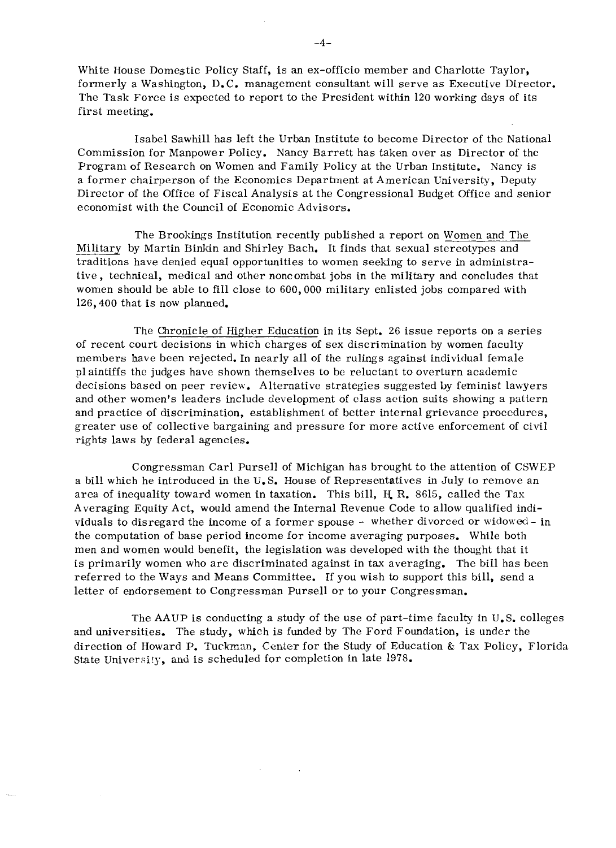White House Domestic Policy Staff, is an ex-officio member and Charlotte Taylor, formerly a Washington, D.C. management consultant will serve as Executive Director. The Task Force is expected to report to the President within 120 working days of its first meeting.

Isabel Sawhill has left the Urban Institute to become Director of thc National Commission for Manpower Policy. Nancy Barrett has taken over as Director of thc Program of Research on Women and Family Policy at the Urban Institute. Nancy is a former chairperson of the Economics Department at American University, Deputy Director of the Office of Fiscal Analysis at the Congressional Budget Office and senior economist with the Council of Economic Advisors.

The Brookings Institution recently published a report on Women and The Military by Martin Binkin and Shirley Bach. It finds that sexual stereotypes and traditions have denied equal opportunities to women seeking to serve in administrative, technical, medical and other noncombat jobs in the military and concludes that women should be able to fill close to 600,000 military enlisted jobs compared with 126,400 that is now planned.

The Chronicle of Higher Education in its Sept. 26 issue reports on a series of recent court decisions in which charges of sex discrimination by women faculty members have been rejected. In nearly all of the rulings against individual female plaintiffs the judges have shown themselves to be reluctant to overturn academic decisions based on peer review. Alternative strategies suggested by feminist lawyers and other women's leaders include development of elass action suits showing a pattcrn and practice of discrimination, establishment of better internal grievance procedures, greater use of collective bargaining and pressure for more active enforcement of civil rights laws by federal agencies.

Congressman Carl Pursell of Michigan has brought to the attention of CSWEP a bill which he introduced in the U. S. House of Representatives in July to remove an area of inequality toward women in taxation. This bill,  $H$  R. 8615, called the Tax Averaging Equity Act, would amend the Internal Revenue Code to allow qualified individuals to disregard the income of a former spouse - whether divorced or widowed - in the computation of base period income for income averaging purposes. While both men and women would benefit, the legislation was developed with the thought that it is primarily women who are discriminated against in tax averaging. The bill has been referred to the Ways and Means Committee. If you wish to support this bill, send a letter of endorsement to Congressman Pursell or to your Congressman.

The AAUP is conducting a study of the use of part-time faculty in U. S. colleges and universities. The study, which is funded by The Ford Foundation, is under the direction of Howard P. Tuckman, Center for the Study of Education & Tax Policy, Florida State University, and is scheduled for completion in late  $1978$ .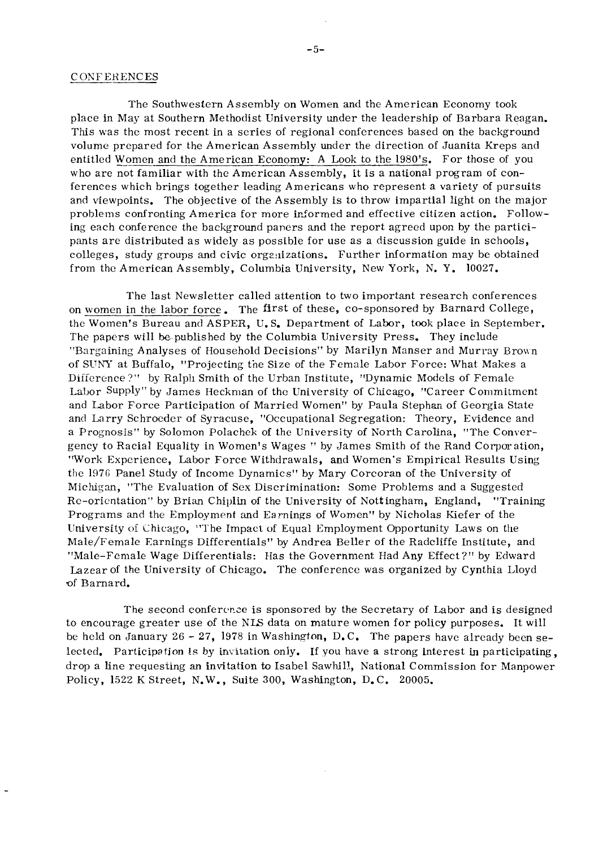#### **CONFERENCES**

The Southweslern Assembly on Women and the American Economy took place in May at Southern Methodist University under the leadership of Barbara Reagan. This was the most recent in a series of regional conferences based on the background volume prepared for the American Assembly under the direction of Juanita Kreps and entitled Women and the American Economy: A Look to the 1980's. For those of you who are not familiar with the American Assembly, it is a national program of conferences which brings together leading Americans who represent a variety of pursuits and viewpoints. The objective of the Assembly is to throw impartial light on the major problems confronting America for more irformed and effective citizen action. Following each conference the background paners and the report agreed upon by the participants are distributed as widely as possible for use as a discussion guide in schools, colleges, study groups and civic orgeiiizations. Further information may be obtained from the American Assembly, Columbia University, New York, N. Y. 10027.

The last Newsletter called attention to two important research conferences on women in the labor force. The first of these, CO-sponsored by Barnard College, the Women's Bureau and ASPER, U. S. Department of Labor, took place in September. The papcrs will be published by the Columbia University Press. They include "Bargaining Analyses of Household Decisions" by Marilyn Manser and Murray Brown of SUNY at Buffalo, "Projecting the Size of the Female Labor Force: What Makes a Difference?" by Ralph Smith of the Urban Institute, "Dynamic Models of Female Labor Supply" by James Heckman of the University of Chicago, "Career Commitment and Labor Force Participation of Married Women'' by Paula Stephan of Georgia State and Larry Schroeder of Syracuse, "Occupational Segregation: Theory, Evidence and a Prognosis'' by Solomon Polachek of the University of North Carolina, "The Convergency to Racial Equality in Women's Wages " by James Smith of the Rand Corporation, "Work Experience, Labor Force Withdrawals, and Women's Empirical Results Using the 1976 Panel Study of Income Dynamics" by Mary Corcoran of the University of Michigan, "The Evaluation of Sex Discrimination: Some Problems and a Suggested Re-orientation" by Brian Chiplin of the University of Nottingham, England, "Training Programs and the Employment and Earnings of Women" by Nicholas Kiefer of the University of Chicago, "The Impact of Equal Employment Opportunity Laws on the Male/Female Earnings Differentials" by Andrea Beller of the Radcliffe Institute, and "Male-Female Wage Differentials: Has the Government Had Any Effect?" by Edward Lazear of the University of Chicago. The conference was organized by Cynthia Lloyd **of** Barnard.

The second conference is sponsored by the Secretary of Labor and is designed to encourage greater use of the NIS data on mature women for policy purposes. It will be held on January 26 - 27, 1978 in Washington,  $D.C.$  The papers have already been selected. Participation Is by invitation only. If you have a strong interest in participating, drop a line requestmg an invitation to Isabel Sawhil!, National Commission for Manpower Policy, 1522 K Street, N.W., Suite 300, Washington, D. C. 20005.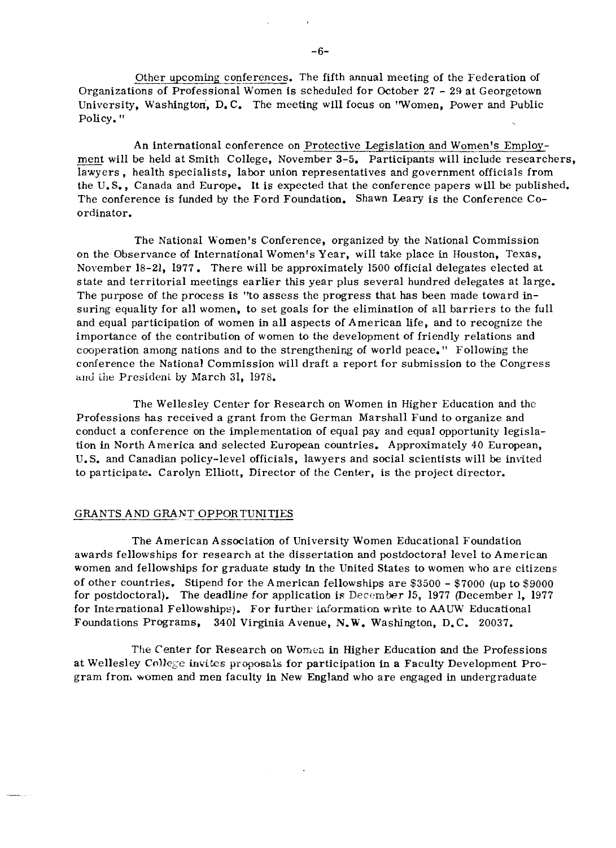Other upcoming conferences. The fifth annual meeting of the Federation of Organizations of Professional Women is scheduled for October 27 - 29 at Georgetown University, Washington, D.C. The meeting will focus on 'Women, Power and Public Policy. "

An international conference on Protective Legislation and Women's Employment will be held at Smith College, November 3-5. Participants will include researchers, lawyers , health specialists, labor union representatives and government officials from the U.S., Canada and Europe. It is expected that the conference papers will be published. The conference is funded by the Ford Foundation. Shawn Leary is the Conference Coordinator.

The National Women's Conference, organized by the National Commission on the Observance of International Women's Year, will take place in Houston, Texas, November 18-21, 1977. There will be approximately 1500 official delegates elected at state and territorial meetings earlier this year plus several hundred delegates at large. The purpose of the process is "to assess the progress that has been made toward insuring equality for all women, to set goals for the elimination of all barriers to the full and equal participation of women in all aspects of American life, and to recognize the importance of the contribution of women to the development of friendly relations and cooperation among nations and to the strengthenirg of world peace." Following the conference the National Commission will draft a report for submission to the Congress and the President by March 31, 1978.

The Wellesley Center for Research on Women in Higher Education and the Professions has received a grant from the German Marshall Fund to organize and conduct a conference on the implementation of equal pay and equal opportunity legislation in North America and selected European countries. Approximately 40 European, U. S. and Canadian policy-level officials, lawyers and social scientists will be invited to participate. Carolyn Elliott, Director of the Center, is the project director.

#### GRANTS AND GRANT OPPORTUNITIES

The American Association of University Women Educational Foundation awards fellowships for research at the dissertation and postdoctoral level to American women and fellowships for graduate study **fn** the United States to women who are citizens of other countries. Stipend for the American fellowships are \$3500 - \$7000 (up to \$9000 for postdoctoral). The deadline for application is December 15, 1977 (December 1, 1977 for International Fellowships). For further idormation write to **AAUW** Educational Foundations Programs, 3401 Virginia Avenue, N.W. Washington, D. C. 20037.

The Center for Research on Wornca **in** Higher Education and the Professions at Wellesley **Collcgc** iuviks pr,aposals for participation **in** a Faculty Development Program from women and men faculty in New England who are engaged in undergraduate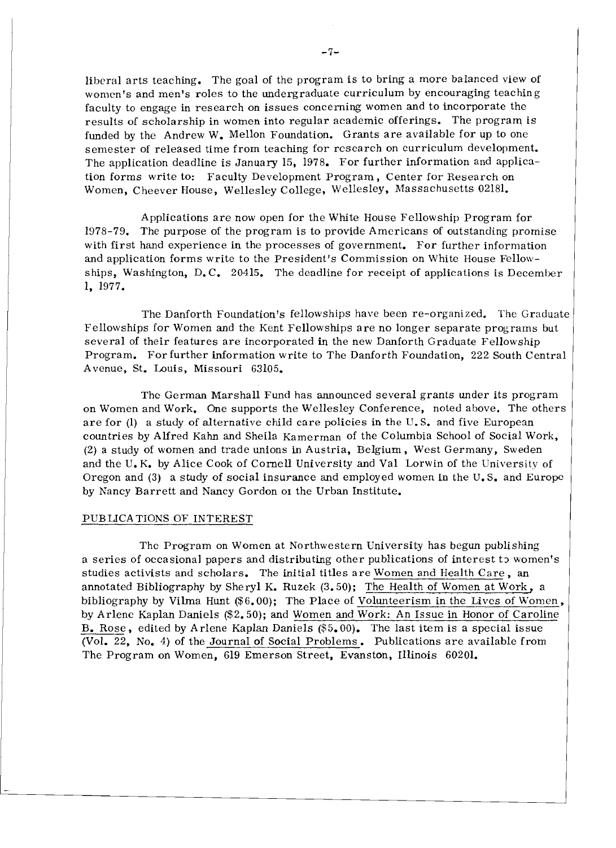liberal arts teaching. The goal of the program is to bring a more balanced view of women's and men's roles to the undergraduate curriculum by encouraging teaching faculty to engage in research on issues concerning women and to incorporate the results of scholarship in women into regular academic offerings. The program is funded by the Andrew W. Mellon Foundation. Grants are available for up to one semester of released time from teaching for rcscarch on curriculum development. The application deadline is January 15, 1978. For further information and application forms write to: Faculty Development Program, Center for Research on Women, Cheever House, Wellesley College, Wellesley, Massachusetts 02181.

Applications are now open for the White House Fellowship Program for - 1978-79. The purpose of the program is to provide Americans of outstanding promise with first hand experience in the processes of government. For further information and application forms write to the President's Commission on White House Fello\vships, Washington, D.C. 20415. The deadline for receipt of applications is December 1, 1977.

The Danforth Foundation's fellowships have been re-organized. The Graduate Fellowships for Women and the Kent Fellowships are no longer separate programs but several of their features are incorporated in the new Danforth Graduate Fellowship Program. For further information write to The Danforth Foundation, 222 South Central Avenue, St. Louis, Missouri 63105.

The German Marshall Fund has announced several grants under its program on Women and Work. One supports the Wellesley Conference, noted above. The others are for (1) a study of alternative child care policies in the U. S. and five European countries by Alfred Kahn and Sheila &merman of the Columbia School of Social Work, (2) a study of women and trade unions in Austria, Belgium, Wcst Germany, Sweden and the U.K. by Alice Cook of Cornell University and Val Lorwin of the University of Oregon and (3) a study of social insurance and employed women in the U. S. and Europe by Nancy Barrett and Nancy Gordon 01 the Urban Institute.

#### PUBLICATIONS OF INTEREST

The Program on Women at Northwestern University has begun publishing a series of occasional papers and distributing other publications of interest to women's studies activists and scholars. The initial titles are Women and Health Care, an annotated Bibliography by Sheryl K. Ruzek  $(3.50)$ ; The Health of Women at Work, a bibliography by Vilma Hunt  $(\$6,00)$ ; The Place of Volunteerism in the Lives of Women, by Arlene Kaplan Daniels (\$2.50); and Women and Work: An Issue in Honor of Caroline B. Rose, edited by Arlene Kaplan Daniels (\$5.00). The last item is a special issue (Vol. 22, No. 4) of the Journal of Social Problems. Publications are available from The Program on Women, 619 Emerson Street, Evanston, Illinois 60201.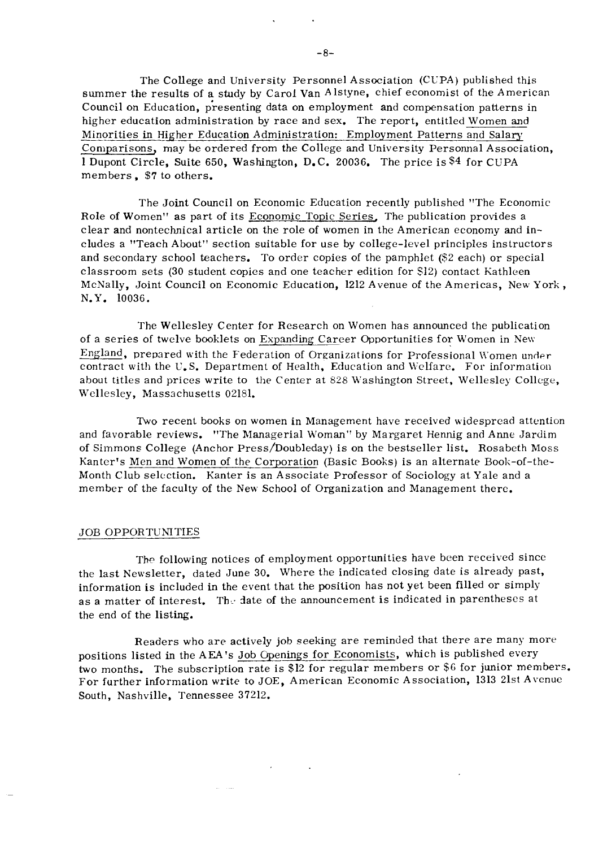The College and University Personnel Association (CUPA) published this summer the results of a study by Carol Van Alstyne, chief economist of the American Council on Education, presenting data on employment and compensation patterns in higher education administration by race and sex. The report, entitled Women and<br>Minorities in Higher Education Administration: Employment Patterns and Salary<br>Connections, may be exdered from the College and University Pers Comparisons, may be ordered from the College and University Personnal Association, 1 Dupont Circle, Suite 650, Washington, D.C. 20036. The price is **\$4** for CUPA members, \$7 to others.

The Joint Council on Economic Education recently published "The Economic Role of Women" as part of its Economic Topic Series. The publication provides a clear and nontechnical article on the role of women in the American economy and includes a "Teach About" section suitable for use by college-level principles instructors and secondary school teachers. To order copies of the pamphlet (\$2 each) or special classroom sets (30 student copies and one teacher edition for \$12) contact Kathleen McNally, Joint Council on Economic Education, 1212 Avenue of the Americas, New York , N.Y. 10036.

The Wellesley Center for Research on Women has announced the publication of a series of twelve booklets on Expanding Career Opportunities for Women in New England, prepared with the Federation of Organizations for Professional Women under contract with the U.S. Department of Health, Education and Welfare. For information about titles and prices write to the Center at 828 Washington Street, Wellesley College, Wellesley, Massachusetts 02181.

Two recent books on women in Management have received widespread attention and favorable reviews. "The Managerial Woman" by Margaret Hennig and Anne Jardim of Simmons College (Anchor Press/Doubleday) is on the bestseller list. Rosabeth Moss Kanter's Men and Women of the Corporation (Basic Books) is an alternate Book-of-the-Month Club selection. Kanter is an Associate Professor of Sociology at Yale and a member of the faculty of the New School of Organization and Management there.

#### JOB OPPORTUNITIES

The following notices of employment opportunities have been received since the last Newsletter, dated June 30. Where the indicated closing date is already past, information is included in the event that the position has not yet been filled or simply as a matter of interest. The date of the announcement is indicated in parentheses at the end of the listing.

Readers who are actively job seeking are reminded that there are many more positions listed in the AEA's Job Openings for Economists, which is published every two months. The subscription rate is \$12 for regular members or \$6 for junior members. For further information write to JOE, American Economic Association, 1313 21st Avenue South, Nashville, Tennessee 37212.

 $\omega_{\rm{max}}$  , and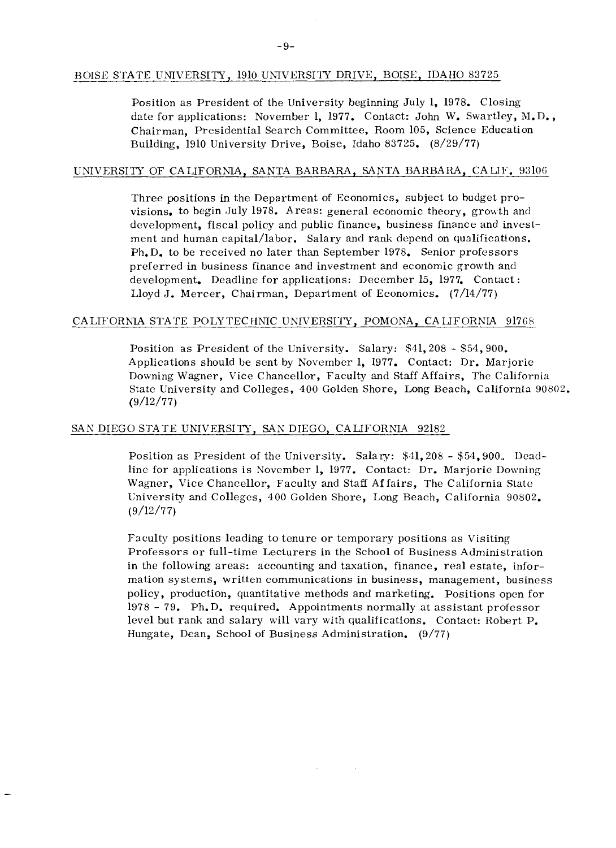#### BOISE STATE UNIVERSITY, 1910 UNIVERSIIY DRIVE, BOISE, IDAtIO 83725

Position as President of the University beginning July 1, 1978. Closing date for applications: November 1, 1977. Contact: John W. Swartley, M.D., Chairman, Presidential Search Committee, Room 105, Science Education Building, 1910 University Drive, Boise, Idaho 83725. (8/29/77)

#### UNIVERSITY OF CALIFORNIA, SANTA BARBARA, SANTA BARBARA, CALIF. 93106

Three positions in the Department of Economics, subject to budget provisions, to begin July 1978. Areas: general economic theory, growth and development, fiscal policy and public finance, business finance and investment and human capital/labor. Salary and rank depend on qualifications. Ph.D. to be received no later than September 1978. Senior professors preferred in business finance and investment and economic growth and development. Deadline for applications: December 15, 1977. Contact : Lloyd J. Mercer, Chairman, Department of Economics. (7/14/77)

#### CALIFORNIA STATE POLY TECHNIC UNIVERSITY, POMONA, CALIFORNIA 91768

Position as President of the University. Salary: \$41,208 - \$54,900. Applications should be sent by November 1, 1977. Contact: Dr. Marjorie Downing Wagner, Vice Chancellor, Faculty and Staff Affairs, The California State University and Colleges, 400 Golden Shore, Long Beach, California 90802.  $(9/12/77)$ 

#### SAN DIEGO STATE UNIVERSIIT, SAX DIEGO, CALIFORNIA 92182

Position as President of the University. Salary:  $$41,208 - $54,900$ , Deadline for applications is November 1, 1977. Contact: Dr. Marjorie Downing Wagner, Vice Chancellor, Faculty and Staff Affairs, The California State University and Colleges, 400 Golden Shore, Long Beach, California 90802.  $(9/12/77)$ 

Faculty positions leading to tenure or temporary positions as Visiting Professors or full-time Lecturers in the School of Business Administration in the following areas: accounting and taxation, finance, real estate, information systems, written communications in business, management, business policy, production, quantitative methods and marketing. Positions open for <sup>1978</sup>- 79. Ph.D. required. Appointments normally at assistant professor level but rank and salary will vary with qualifications. Contact: Robert P. Hungate, Dean, School of Business Administration. (9/77)

 $\sim$   $\alpha$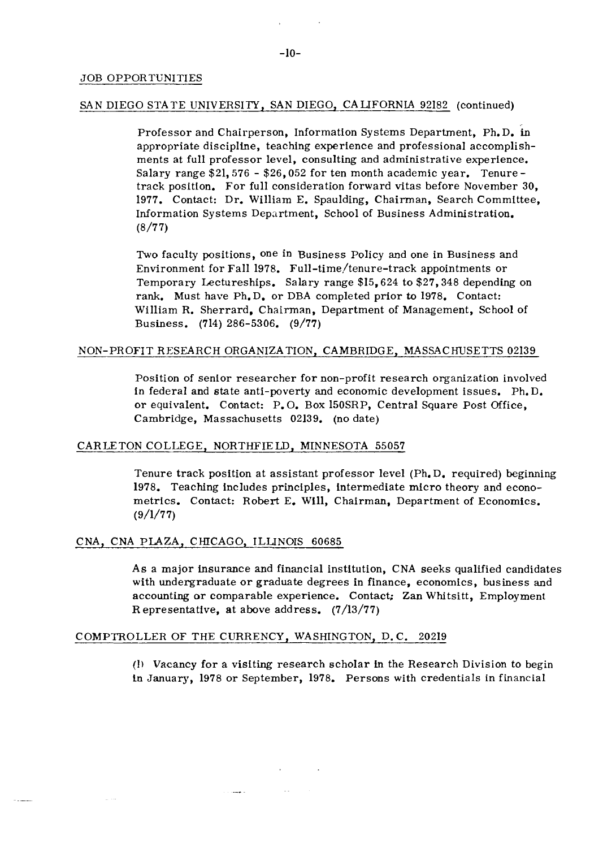#### SAN DIEGO STATE UNIVERSITY, SAN DIEGO, CALIFORNIA 92182 (continued)

Professor and Chairperson, Information Systems Department, Ph.D. in appropriate discipline, teaching experience and professional accomplishments at full professor level, consulting and administrative experience. Salary range \$21,576 - \$26,052 for ten month academic year. Tenure track position. For full consideration forward vitas before November 30, 1977. Contact: Dr. William E. Spaulding, Chairman, Search Committee, Information Systems Department, School of Business Administration. (8/77)

Two faculty positions, one in Business Policy and one in Business and Environment for Fall 1978. Full-time/tenure-track appointments or Temporary Lectureships. Salary range \$15,624 to \$27,348 depending on rank. Must have Ph.D. or DBA completed prior to 1978. Contact: William R. Sherrard, Chairman, Department of Management, School of Business. (714) 286-5306. (9/77)

#### NON-PROFIT RESEARCH ORGANIZATION, CAMBRIDGE, MASSACHUSETTS 02139

Position of senior researcher for non-profit research organization involved in federal and state anti-poverty and economic development issues. Ph. D. or equivalent. Contact: P. 0. Box ISOSRP, Central Square Post Office, Cambridge, Massachusetts 02139. (no date)

#### CARLETON COLLEGE, NORTHFIELD, MINNESOTA 55057

Tenure track position at assistant professor level (Ph. D. required) beginning 1978. Teaching includes principles, intermediate micro theory and econometrics. Contact: Robert E. Will, Chairman, Department of Economics.  $(9/1/77)$ 

#### CNA, CNA PLAZA, CHICAGO, ILLINOIS 60685

As a major insurance and financial institution, CNA seeks qualified candidates with undergraduate or graduate degrees in finance, economics, business and accounting or comparable experience. Contact; **Zan** Whitsitt, Employment **R** epresentative, at above address. (7/13/77)

#### COMPTROLLER OF THE CURRENCY, WASHINGTON, D. C. 20219

**(I)** Vacancy for a visiting research scholar **in** the Research Division to begin in January, 1978 or September, 1978. Persons with credentials in financial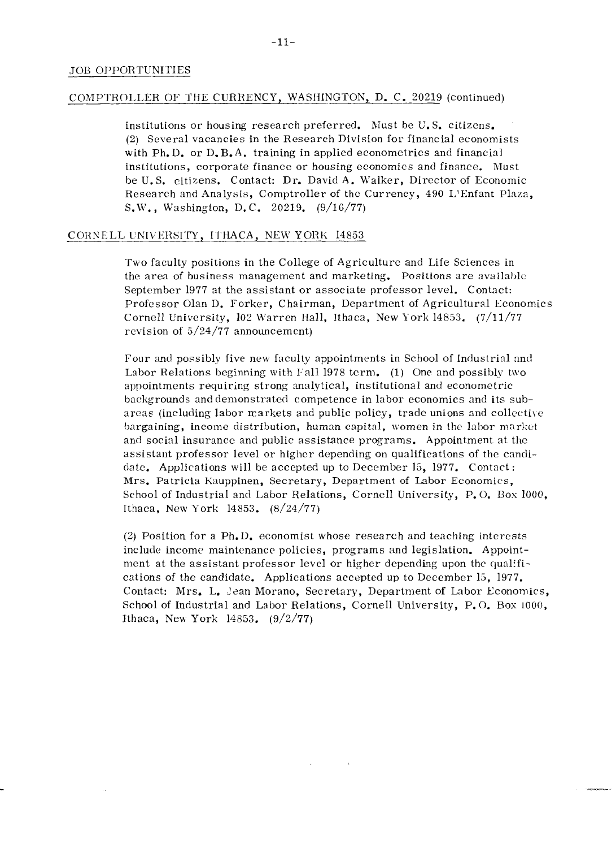#### COMPTROLLER OF THE CURRENCY, WASHINGTON, D. C. 20219 (continued)

institutions or housing research preferred. Must be U.S. citizens. (2) Several vacancies in the Research Division for financial economists with Ph.D. or D.B.A. training in applied econometrics and financial institutions, corporate finance or housing economics and finance. Must be U. S. citizens. Contact: Dr. David A. Walker, Director of Economic Research and Analysis, Comptroller of the Currency, 490 L'Enfant Plaza, S.W., Washington, D.C. 20219.  $(9/16/77)$ 

#### CORNELL UNIVERSITY, ITHACA, NEW YORK 14853

Two faculty positions in the College of Agriculture and Life Sciences in the area of business management and marketing. Positions are available September 1977 at the assistant or associate professor level. Contact: Professor Olan D. Forker, Chairman, Department of Agricultural Economics Cornell University,  $102$  Warren Hall, Ithaca, New York 14853. (7/11/77 revision of 3/24/77 announcement)

Four and possibly five neu faculty appointments in School of Industrial and Labor Relations beginning with  $\text{Fall 1978 term.}$  (1) One and possibly two appointments requiring strong analytical, institutional and econometric backgrounds and demonstrated competence in labor economics and its subareas (including labor markets and public policy, trade unions and collective bargaining, income distribution, human capital, women in the labor market and social insurance and public assistance programs. Appointment at thc assistant professor level or higher depending on qualifications of the candidate. Applications will be accepted up to December 13, 1977. Contact: Mrs. Patricia Kauppinen, Secretary, Department of Labor Economics, School of Industrial and Labor Relations, Cornell University, P. 0. Box 1000, Ithaca, New York 14853.  $(8/24/77)$ 

(2) Position for a Ph.L). economist whose research and teaching interests include income maintenance policics, programs and legislation. Appointment at the assistant professor level or higher depending upon the qualifications of the candidate. Applications accepted up to December 13, 1977. Contact: Mrs. L. Jean Morano, Secretary, Department of Labor Economics, School of Industrial and Labor Relations, Cornell University, P.O. Box 1000, Ithaca, New York 14853.  $(9/2/77)$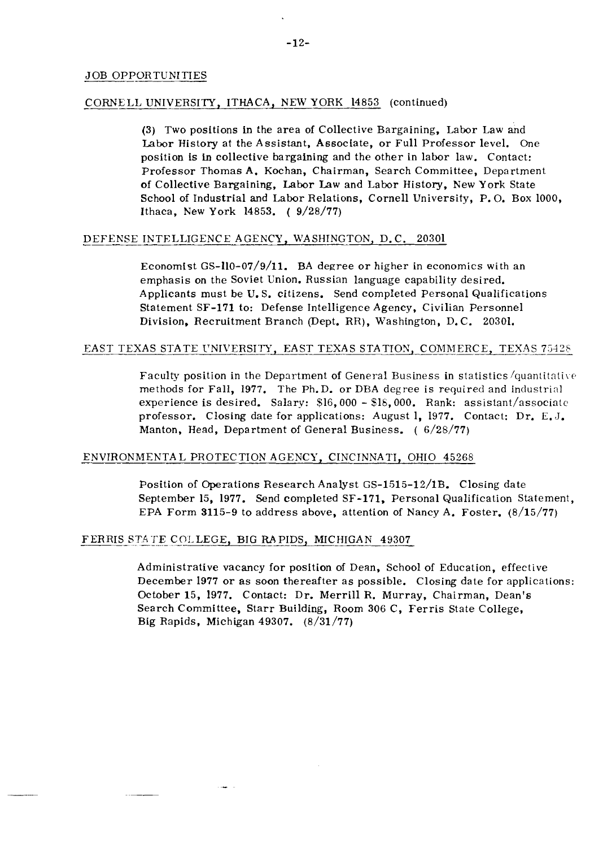#### CORNELL UNIVERSITY, ITHACA, NEW YORK 14853 (continued)

(3) Two positions in the area of Collective Bargaining, Labor Law and Labor History at the Assistant. Associate, or Full Professor level. One position is in collective bargaining and the other in labor law. Contact: Professor Thomas A. Kochan, Chairman, Search Committee, Department of Collective Bargaining, Labor Law and Labor History, New York State School of Industrial and Labor Relations, Cornell University, P. 0. Box 1000, Ithaca, New York 14853. ( 9/28/77)

#### DEFENSE INTELLIGENCE AGENCY, WASHINGTON, D.C. 20301

Economist GS-110-07/9/11. BA degree or higher in economics with an emphasis on the Soviet Union. Russian language capability desired. Applicants must be U. S. citizens. Send completed Personal Qualifications Statement SF-171 to: Defense Intelligence Agency, Civilian Personnel Division, Recruitment Branch (Dept. RR), Washington, D. C. 20301.

#### EAST TEXAS STATE UNIVERSITY, EAST TEXAS STATION, COMMERCE, TEXAS 75428

Faculty position in the Department of General Business in statistics /quantitali\ *c*  methods for Fall, 1977. The Ph.D. or DBA degree is required and industrial experience is desired. Salary: \$16,000 - \$16,000. Rank: assistant/associale professor. Closing date for applications: August 1, 1977. Contact: Dr. E. J. Manton, Head, Department of General Business. ( 6/28/77)

#### ENVIRONMENTAL PROTECTION AGENCY, CINCINNATI, OHIO 45268

Position of Operations Research Analyst GS-1515-12/1B. Closing date September 15, 1977. Send completed SF-171, Personal Qualification Statement, EPA Form  $3115-9$  to address above, attention of Nancy A. Foster.  $(8/15/77)$ ENVIRONMENTAL PROTECTION AGENCY, CINCINNATI, C<br>
Position of Operations Research Analyst GS-1515-<br>
September 15, 1977. Send completed SF-171, Pers<br>
EPA Form 3115-9 to address above, attention of N<br>
FERRIS STATE COLLEGE, BIG

 $\sim$ 

Administrative vacancy for position of Dean, School of Education, effective December 1977 or as soon thereafter as possible. Closing date for applications: October 15, 1977. Contact: Dr. Merrill R. Murray, Chairman, Dean's Search Committee, Starr Building, Room 306 C, Ferris State College. Big Rapids, Michigan 49307. (8/31/77)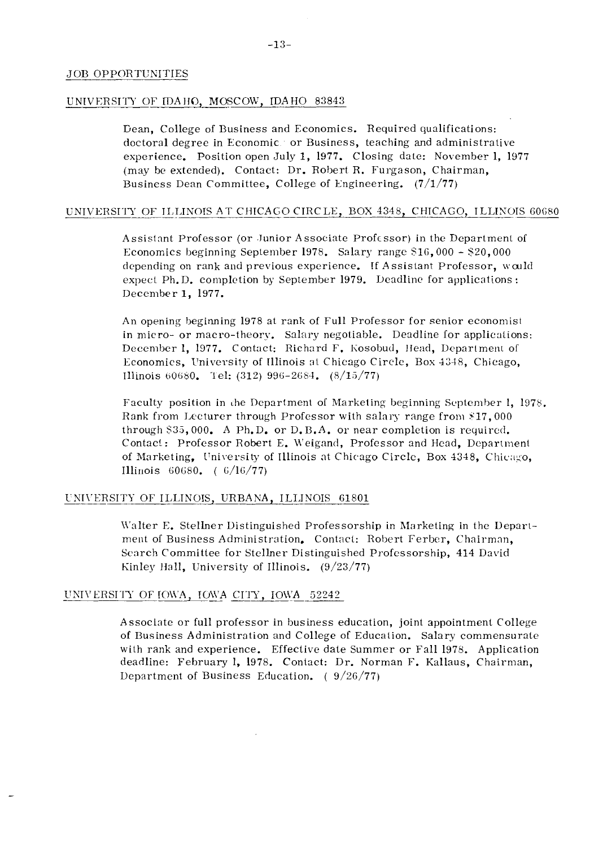#### UNIVERSITY OF IDAHO, MOSCOW, IDAHO 83843

Dean, College of Business and Economics. Required qualifications: doctoral degree in Economic or Business, teaching and administrative experience. Position open July 1, 1977. Closing date: November 1, 1977 (mzy be extended). Contact: Dr. Robert R. Furgason, Chairman, Business Dean Committee, College of Engineering.  $(7/1/77)$ 

#### UNIVERSITY OF ILLINOIS AT CHICAGO CIRCLE, BOX 4348, CHICAGO, ILLINOIS 60680

Assistant Professor (or Junior Associate Profcssor) in the Department of Economics heginning September 1978. Salary range SlG, 000 - \$20,000 depending on rank and previous experience. If Assistant Professor, would expect Ph. D. completion by September 1979. Deadline for applications: Deceniber 1, 1977.

An opening beginning 1978 at rank of Full Professor for senior economisl in micro- or macro-theory. Salary negotiable. Deadline for applications: December 1, 1977. Contact: Richard F. Kosobud, Head, Department of Economics, University of Illinois at Chicago Circle, Box 4348, Chicago, Illinois  $60680$ . Tel: (312) 996-2684. (8/15/77)

Faculty position in the Department of Marketing beginning September 1, 1978. Rank from Lecturer through Professor with salary range from  $$17,000$ through 533,000. A Ph.D. or D.B.A. or near completion is required. Contact: Professor Robert E. Weigand, Professor and Head, Department of Marketing, University of Illinois at Chicago Circle, Box 4348, Chicago, Illinois  $60680.$  (  $6/16/77$ )

#### UNIVERSITY OF ILLINOIS, URBANA, ILLINOIS 61801

Walter E. Stellner Distinguished Professorship in Marketing in the Department of Business Administration. Contact: Robert Ferber, Chairman, Search Committee for Stellner Distinguished Professorship, 414 David Kinley Hall, University of Illinois.  $(9/23/77)$ 

#### UNIVERSITY OF IOWA, IOWA CITY, IOWA 52242

Associate or full professor in business education, joint appointment College of Business Administration and College of Education. Salary commensurste with rank and experience. Effective date Summer or Fall 1978. Application deadline: February 1, 1978. Contact: Dr. Norman F. Kallaus, Chairman, Department of Business Education. ( 9/26/77)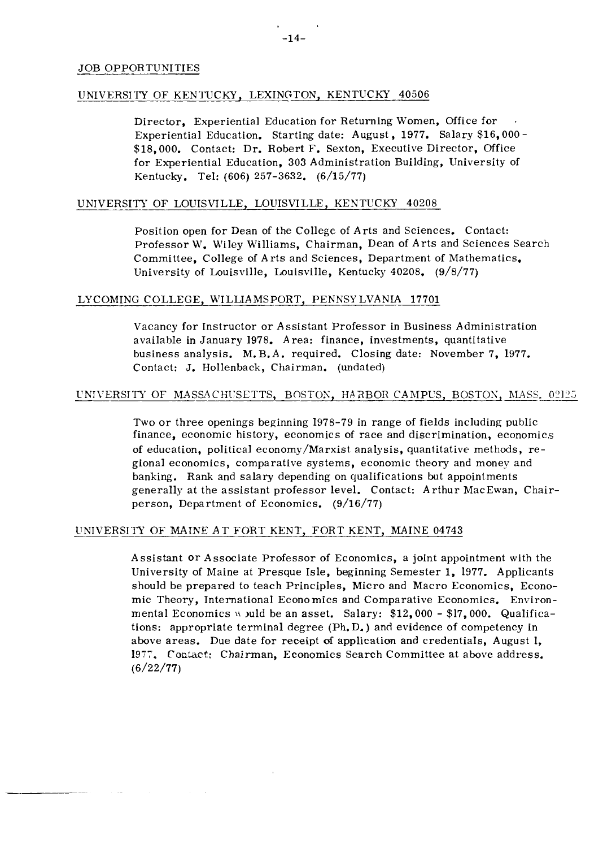#### UNIVERSITY OF KENTUCKY, LEXINGTON, KENTUCKY 40506

Director, Experiential Education for Returning Women, Office for . Experiential Education. Starting date: August, 1977. Salary \$16,000 - \$18,000. Contact: Dr. Robert F. Sexton, Executive Director, Office for Experiential Education, 303 Administration Building, University of Kentucky. Tel: (606) 257-3632. (6/15/77)

#### UNIVERSITY OF LOUISVILLE, LOUISVILLE, KENTUCKY 40208

Position open for Dean of the College of Arts and Sciences. Contact: Professor W. Wiley Williams, Chairman, Dean of Arts and Sciences Search Committee, College of Arts and Sciences, Department of Mathematics. University of Louisville, Louisville, Kentucky 40208. (9/8/77)

#### LYCOMING COLLEGE, WILLIAMSPORT, PENNSYLVANIA 17701

Vacancy for Instructor or Assistant Professor in Business Administration available in January 1978. Area: finance, investments, quantitative business analysis. M. B.A. required. Closing date: November 7, 1977. Contact: J. Hollenback, Chairman. (undated)

#### UNIVERSITY OF MASSACHUSETTS, BOSTON, HARBOR CAMPUS, BOSTON, MASS. 02125

Two or three openings beginning  $1978-79$  in range of fields including public finance, economic history, economics of race and discrimination, economics of education, political economy/Marxist analysis, quantitative methods, regional economics, comparative systems, economic theory and money and banking. Rank and salary depending on qualifications but appointments generally at the assistant professor level. Contact: Arthur MacEwan, Chairperson, Department of Economics. (9/16/77)

#### UNIVERSITY OF MAINE AT FORT KENT, FORT KENT, MAINE 04743

Assistant or Associate Professor of Economics, a joint appointment with the University of Maine at Presque Isle, beginning Semester 1, 1977. Applicants should be prepared to teach Principles, Micro and Macro Economics, Economic Theory, International Economics and Comparative Economics. Environmental Economics **\r** juld be an asset. Salary: \$12,000 - \$17,000. Qualifications: appropriate terminal degree (Ph. D. ) and evidence of competency in above areas. Due date for receipt oi application and credentials, August 1, **1977.** Contact: Chairman, Economics Search Committee at above address. (6/22/77)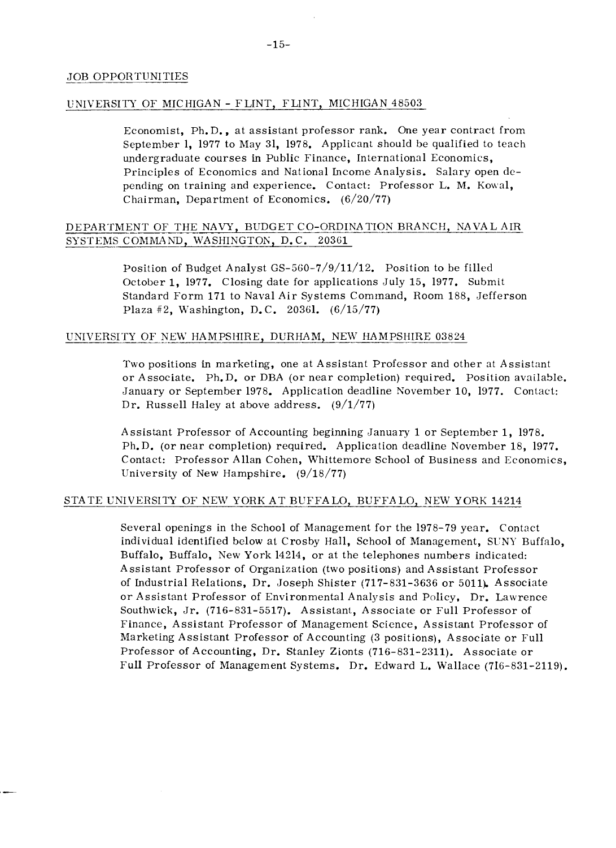#### UNIVERSITY OF MICHIGAN - FLINT, FLINT, MICHIGAN 48503

Economist, Ph. D., at assistant professor rank. One year contract from September 1, 1977 to May 31, 1978. Applicant should be qualified to teach undergraduate courses in Public Finance, International Economics, Principles of Economics and National Income Analysis. Salary open depending on training and experience. Contact: Professor L. M. Kowal, Chairman, Department of Economics. (6/20/77)

## DEPARTMENT OF THE NAVY, BUDGET CO-ORDINATION BRANCH, NAVAL AIR DEPARTM<br>SYSTEMS SYSTEMS COMMAND, WASHINGTON, D.C. 20361

Position of Budget Analyst GS-560-7/9/11/12. Position to be filled October 1, 1977. Closing date for applications July 15, 1977. Submit Standard Form 171 to Naval Air Systems Command, Room 188, Jefferson Plaza #2, Washington, D.C. 20361.  $(6/15/77)$ 

#### UNIVERSITY OF NEW HAMPSHIRE, DURHAM, NEW HAMPSHIRE 03824

Two positions in marketing, one at Assistant Professor and other at Assistant or Associate. Ph.D. or DBA (or near completion) required. Position available. January or September 1978. Application deadline November 10, 1977. Contact: Dr. Russell Haley at above address. (9/1/77)

Assistant Professor of Accounting beginning January 1 or September 1, 1978. Ph.D. (or near completion) required. Application deadline November 18, 1977. Contact: Professor Allan Cohen, Whittemore School of Business and Economics, University of New Hampshire.  $(9/18/77)$ 

#### STATE UNIVERSITY OF NEW YORK AT BUFFALO, BUFFALO, NEW YORK 14214

Several openings in the School of Management for the 1978-79 year. Contact individual identified below at Crosby Hall, School of Management, SUNY Buffalo, Buffalo, Buffalo, New York 14214, or at the telephones numbers indicated: Assistant Professor of Organization (two positions) and Assistant Professor of Industrial Relations, Dr. Joseph Shister  $(717-831-3636)$  or 5011). Associate or Assistant Professor of Environmental Analysis and Policy, Dr. Lawrence Southwick, Jr. (716-831-5517). Assistant, Associate or Full Professor of Finance, Assistant Professor of Management Science, Assistant Professor of Marketing Assistant Professor of Accounting (3 positions), Associate or Full Professor of Accounting, Dr. Stanley Zionts (716-831-2311). Associate or Full Professor of Management Systems. Dr. Edward L. Wallace (716-831-2119).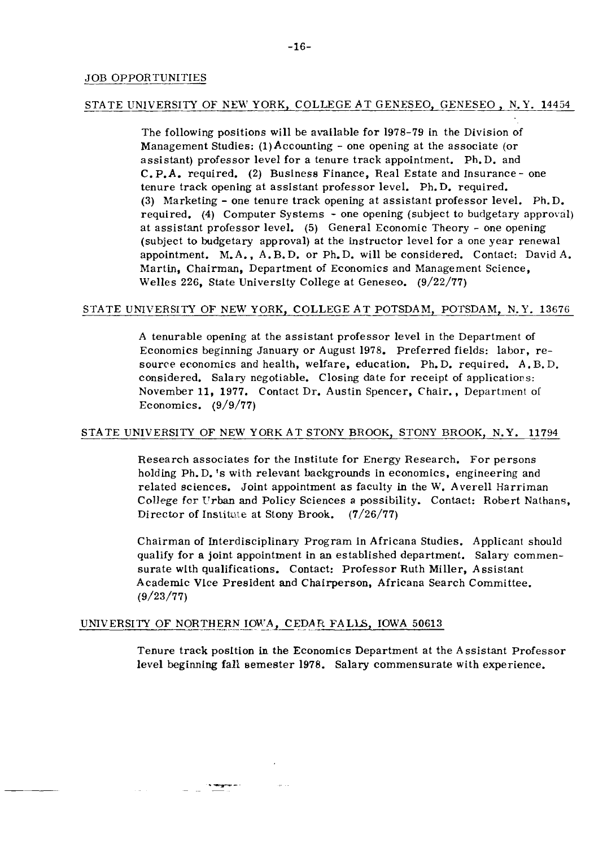#### STATE UNIVERSITY OF NEW YORK, COLLEGE AT GENESEO, GENESEO, N.Y. 14454

The following positions will be available for 1978-79 in the Division of Management Studies:  $(1)$  Accounting - one opening at the associate (or assistant) professor level for a tenure track appointment. Ph.D. and C.P.A. required. (2) Business Finance, Real Estate and Insurance- one tenure track opening at assistant professor level. Ph. D. required. (3) Marketing - one tenure track opening at assistant professor level. Ph.D. required. (4) Computer Systems - one opening (subject to budgetary approval) at assistant professor level. (5) General Economic Theory - one opening (subject to budgetary approval) at the instructor level for a one year renewal appointment. M.A., A. B.D. or Ph.D. will be considered. Contact: David A. Martin, Chairman, Department of Economics and Management Science, Welles 226, State Universlty College at Geneseo. (9/22/77)

#### STATE UNIVERSITY OF NEW YORK, COLLEGE AT POTSDAM, POTSDAM, N.Y. 13676

A tenurable opening at the assistant professor level in the Department of Economics beginning January or August 1978. Preferred fields: labor, resource economics and health, welfare, education. Ph.D. required. A.B.D. considered. Salary negotiable. Closing date for receipt of applications: November 11, 1977. Contact Dr. Austin Spencer, Chair., Department ol Economics.  $(9/9/77)$ 

#### STATE UNIVERSITY OF NEW YORK AT STONY BROOK, STONY BROOK, N.Y. 11794

Research associates for the Institute for Energy Research. For persons holding Ph. D. 's with relevant backgrounds in economics, engineering and related sciences. Joint appointment as faculty in the W. Averell Harriman College for Urban and Policy Sciences a possibility. Contact: Robert Nathans, Director of Institute at Stony Brook.  $(7/26/77)$ 

Chairman of Interdisciplinary Program in Africana Studies. Applicant should qualify for a joint appointment in an established department. Salary commensurate wlth qualifications. Contact: Professor Ruth Miller, Assistant Academic Vlce President and Chairperson, Africana Search Committee. (9/23/77)

#### UNIVERSITY OF NORTHERN IOW'A, CEDAR FALLS, IOWA 50613

Tenure track posltion in the Economics Department at the Assistant Professor level beginning fall semester 1978. Salary commensurate with experience.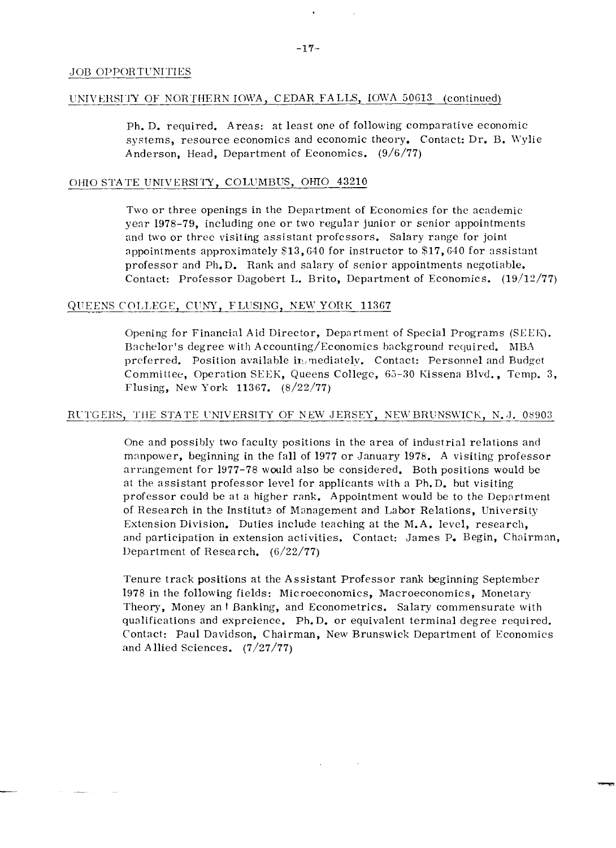#### UNIVERSITY OF NORTHERN IOWA, CEDAR FALLS, IOWA 50613 (continued)

Ph. D. required. Areas: at least one of following comparative economic systems, resource economics and economic theory. Contact: Dr. B. Wylie Anderson, Head, Department of Economics. (9/6/77)

#### OHIO STATE UNIVERSITY, COLUMBUS, OHIO 43210

Two or three openings in the Department of Economics for the academic year 1978-79, including one or two regular junior or senior appointments and two or thrcc visiting assistant profcssors. Salary range for joint appoinlments approximately \$13,640 for instructor to \$17,640 for assistant professor and  $Ph.D.$  Rank and salary of senior appointments negotiable. Contact: Professor Dagobert L. Brito, Department of Economics.  $(19/12/77)$ 

#### QUEENS COLLEGE, CUNY, FLUSING, NEW YORK 11367

Opening for Financial Aid Director, Department of Special Programs (SEEK). Bachelor's degree with Accounting/Economics background required. MBA preferred. Position available in mediately. Contact: Personnel and Budget Commitlee, Operation SEEK, Queens College, 63-30 Kissena Blvd., Temp. 3, Flusing, New York 11367. (8/22/77)

#### RUTGERS, THE STATE UNIVERSITY OF NEW JERSEY, NEW BRUNSWICK, N.J. 08903

One and possibly two faculty positions in the area of industrial relations and manpower, beginning in the fall of 1977 or January 1978. A visiting professor arrangement for 1977-78 would also be considered. Both positions would be at the assistant professor level for applicants with a Ph. D. but visiting professor could be at a higher rank. Appointment would be to the Department of Research in the Institute of Management and Labor Relations, University Extension Division. Duties include teaching at the M.A. level, research, and participation in extension activities. Contact: James P. Begin, Chairman, Ilepartment of Research. (6/22/77)

Tenure track positions at the Assistant Professor rank beginning September 1978 in the following fields: Microeconomics, Macroeconomics, Monetary Theory, Money an **1** Banking, and Econometrics. Salary commensurate with qualifications and expreience. Ph. D. or equivalent terminal degree required. Contact: Paul Davidson, Chairman, New Brunswick Department of Economics and Allied Sciences. (7/27/77)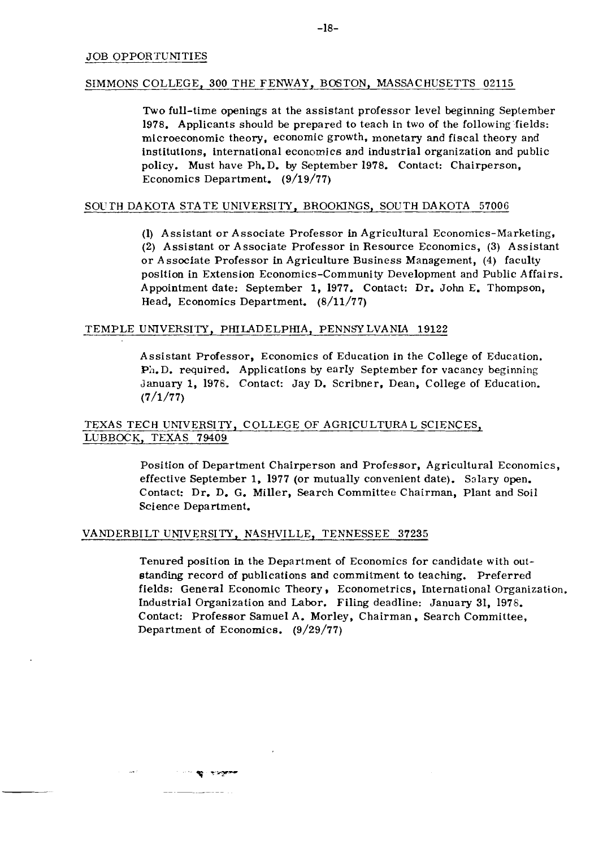#### SIMMONS COLLEGE, 300 THE FENWAY, BOSTON, MASSACHUSETTS 02115

Two full-time openings at the assistant professor level beginning September 1978. Applicants should be prepared to teach in two of the following'fields: microeconomic theory, economic growth. monetary and fiscal theory and institutions, international economics and industrial organization and public policy. Must have Ph. D. by September 1978. Contact: Chairperson, Economics Department. (9/19/77)

#### SOu TH DAKOTA STA TE UNIVERSITY, BROOKINGS, SOUTH DAKOTA 57006

(1) Assistant or Associate Professor in Agricultural Economics-Marketing, (2) Assistant or Associate Professor in Resource Economics, (3) Assistant or Associate Professor in Agriculture Business Management, (4) faculty position in Extension Economics-Community Development and Public Affairs. Appointment date: September 1, 1977. Contact: Dr. John E. Thompson, Head, Economics Department. (8/11/77)

#### TEMPLE UNIVERSITY, PHILADELPHIA, PENNSY LVANIA 19122

Assistant Professor, Economics of Education in the College of Education. PA. D. required. Applications by early September for vacancy beginning January 1, 1976. Contact: Jay D. Scribner. Dean, College of Education.  $(7/1/77)$ 

#### TEXAS TECH UNWERSITY, COLLEGE OF AGRICULTURA L SCIENCES, LUBBOCK, TEXAS 79409

Position of Department Chairperson and Professor, Agricultural Economics, effective September 1, 1977 (or mutually convenient date). Salary open. Contact: Dr. D. G. Miller, Search Committee Chairman, Plant and Soil Science Department.

#### VANDERBILT UNIVERSITY, N4SHVILLE, TENNESSEE 37235

**SECURITY OF THE** 

Tenured position in the Department of Economics for candidate with outstanding record of publications and commitment to teaching. Preferred fields: General Economic Theory, Econometrics, International Organization. Industrial Organization and Labor. Filing deadline: January 31, 1976. Contact: Professor Samuel A. Morley , Chairman, Search Committee, Department of Economics. (9/29/77)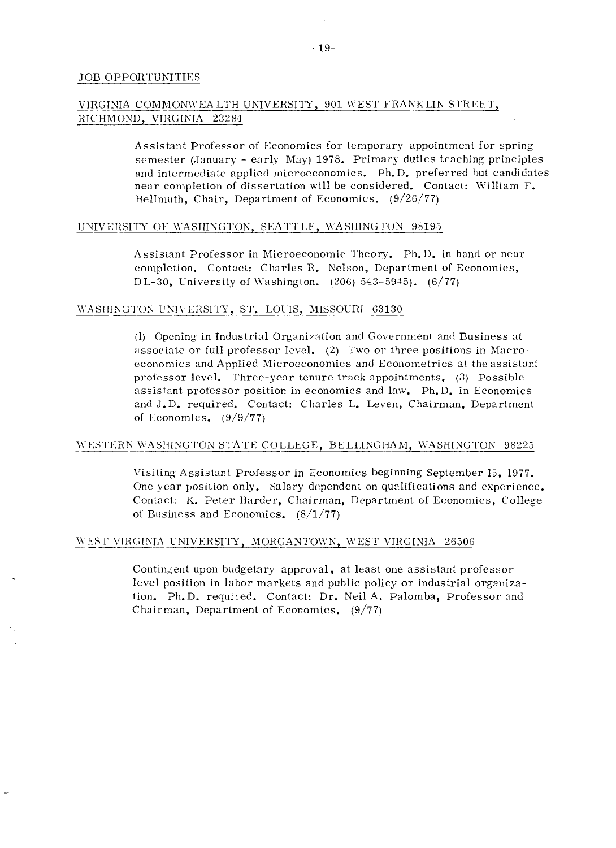#### VIRGINIA COMMONWEA LTH UNIVERSITY, 901 WEST FRANKLIN STREET, RICHMOND, VIRGINIA 23284

Assistant Professor of Economics for temporary appointment for spring semester (January - early May) 1978. Primary duties teaching principles and intermediate applied microeconomics.  $Ph.D.$  preferred but candidates near completion of dissertation will he considered. Contact: William F. Hellmuth, Chair, Department of Economics. (9/26/77)

#### UNIVERSITY OF WASHINGTON, SEATTLE, WASHINGTON 98195

Assistant Professor in Microeconomic Theory. Ph.D. in hand or near completion. Contact: Charles R. Nelson, Department of Economics, DL-30, University of Washington.  $(206)$  543-5945).  $(6/77)$ 

# con<br>DL-<br><u>WASHINGTON</u> WASHINGTON UNIVERSITY, ST. LOUIS, MISSOURI\_63130

(I) Opening in Industrial Organization and Government and Business at associate or full professor level. (2) Two or three positions in Macroeconomics and Applied Microeconomics and Econometrics at the assistant professor level. Threc-year tenure truck appointments. (3) Possible assistant professor position in economics and law. Ph.D. in Economics and J.D. required. Contact: Charles L. Leven, Chairman, Department of Economics.  $(9/9/77)$ 

#### WESTERN WASHINGTON STATE COLLEGE, BELLINGHAM, WASHINGTON 98225

\.isiting Assistant Professor in Economics beginning September 15, 1977. One year position only. Salary dependent on qualifications and esperience. Contact: K. Peter Harder, Chairman, Department of Economics, College of Business and Economics.  $(8/1/77)$ 

#### WEST VIRGINIA UNIVERSITY, MORGANTOWN, WEST VIRGINIA 26506

Contingent upon budgetary approval, at least one assistant professor level position in labor markets and public policy or industrial organization. Ph.D. requ!:ed. Contact: Dr. Neil A. Palomba, Professor and Chairman, Department of Economics.  $(9/77)$